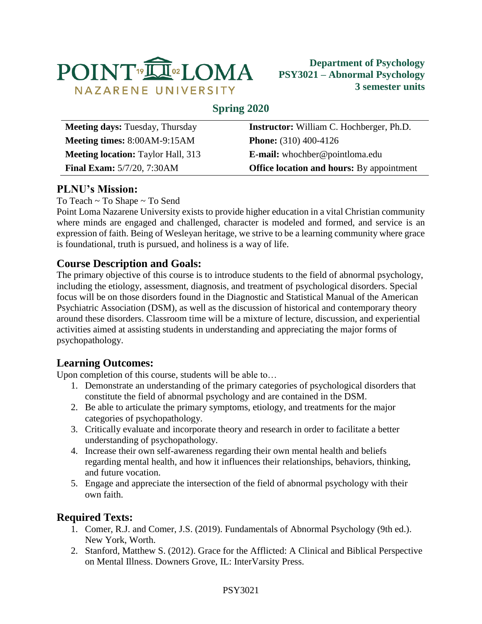

### **Spring 2020**

| <b>Meeting days: Tuesday, Thursday</b>    | <b>Instructor:</b> William C. Hochberger, Ph.D.  |
|-------------------------------------------|--------------------------------------------------|
| Meeting times: 8:00AM-9:15AM              | <b>Phone:</b> $(310)$ 400-4126                   |
| <b>Meeting location:</b> Taylor Hall, 313 | <b>E-mail:</b> whochber@pointloma.edu            |
| <b>Final Exam:</b> 5/7/20, 7:30AM         | <b>Office location and hours:</b> By appointment |

# **PLNU's Mission:**

To Teach ~ To Shape ~ To Send

Point Loma Nazarene University exists to provide higher education in a vital Christian community where minds are engaged and challenged, character is modeled and formed, and service is an expression of faith. Being of Wesleyan heritage, we strive to be a learning community where grace is foundational, truth is pursued, and holiness is a way of life.

# **Course Description and Goals:**

The primary objective of this course is to introduce students to the field of abnormal psychology, including the etiology, assessment, diagnosis, and treatment of psychological disorders. Special focus will be on those disorders found in the Diagnostic and Statistical Manual of the American Psychiatric Association (DSM), as well as the discussion of historical and contemporary theory around these disorders. Classroom time will be a mixture of lecture, discussion, and experiential activities aimed at assisting students in understanding and appreciating the major forms of psychopathology.

### **Learning Outcomes:**

Upon completion of this course, students will be able to…

- 1. Demonstrate an understanding of the primary categories of psychological disorders that constitute the field of abnormal psychology and are contained in the DSM.
- 2. Be able to articulate the primary symptoms, etiology, and treatments for the major categories of psychopathology.
- 3. Critically evaluate and incorporate theory and research in order to facilitate a better understanding of psychopathology.
- 4. Increase their own self-awareness regarding their own mental health and beliefs regarding mental health, and how it influences their relationships, behaviors, thinking, and future vocation.
- 5. Engage and appreciate the intersection of the field of abnormal psychology with their own faith.

# **Required Texts:**

- 1. Comer, R.J. and Comer, J.S. (2019). Fundamentals of Abnormal Psychology (9th ed.). New York, Worth.
- 2. Stanford, Matthew S. (2012). Grace for the Afflicted: A Clinical and Biblical Perspective on Mental Illness. Downers Grove, IL: InterVarsity Press.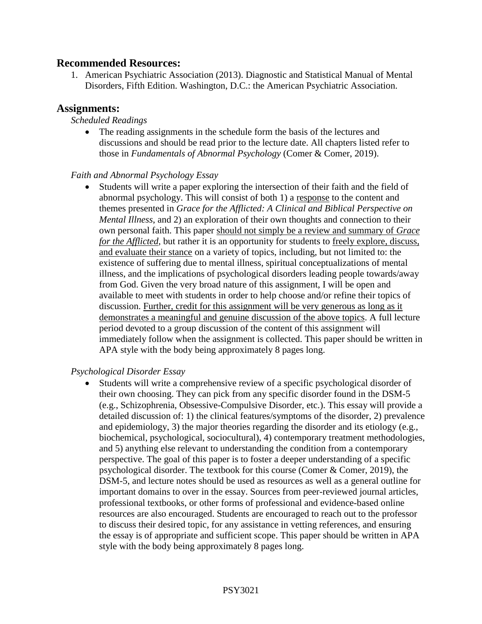#### **Recommended Resources:**

1. American Psychiatric Association (2013). Diagnostic and Statistical Manual of Mental Disorders, Fifth Edition. Washington, D.C.: the American Psychiatric Association.

#### **Assignments:**

#### *Scheduled Readings*

 The reading assignments in the schedule form the basis of the lectures and discussions and should be read prior to the lecture date. All chapters listed refer to those in *Fundamentals of Abnormal Psychology* (Comer & Comer, 2019).

#### *Faith and Abnormal Psychology Essay*

 Students will write a paper exploring the intersection of their faith and the field of abnormal psychology. This will consist of both 1) a response to the content and themes presented in *Grace for the Afflicted: A Clinical and Biblical Perspective on Mental Illness*, and 2) an exploration of their own thoughts and connection to their own personal faith. This paper should not simply be a review and summary of *Grace for the Afflicted*, but rather it is an opportunity for students to freely explore, discuss, and evaluate their stance on a variety of topics, including, but not limited to: the existence of suffering due to mental illness, spiritual conceptualizations of mental illness, and the implications of psychological disorders leading people towards/away from God. Given the very broad nature of this assignment, I will be open and available to meet with students in order to help choose and/or refine their topics of discussion. Further, credit for this assignment will be very generous as long as it demonstrates a meaningful and genuine discussion of the above topics. A full lecture period devoted to a group discussion of the content of this assignment will immediately follow when the assignment is collected. This paper should be written in APA style with the body being approximately 8 pages long.

#### *Psychological Disorder Essay*

 Students will write a comprehensive review of a specific psychological disorder of their own choosing. They can pick from any specific disorder found in the DSM-5 (e.g., Schizophrenia, Obsessive-Compulsive Disorder, etc.). This essay will provide a detailed discussion of: 1) the clinical features/symptoms of the disorder, 2) prevalence and epidemiology, 3) the major theories regarding the disorder and its etiology (e.g., biochemical, psychological, sociocultural), 4) contemporary treatment methodologies, and 5) anything else relevant to understanding the condition from a contemporary perspective. The goal of this paper is to foster a deeper understanding of a specific psychological disorder. The textbook for this course (Comer & Comer, 2019), the DSM-5, and lecture notes should be used as resources as well as a general outline for important domains to over in the essay. Sources from peer-reviewed journal articles, professional textbooks, or other forms of professional and evidence-based online resources are also encouraged. Students are encouraged to reach out to the professor to discuss their desired topic, for any assistance in vetting references, and ensuring the essay is of appropriate and sufficient scope. This paper should be written in APA style with the body being approximately 8 pages long.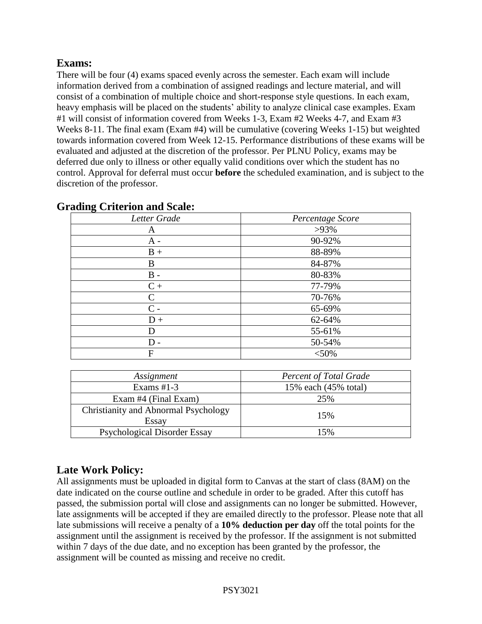# **Exams:**

There will be four (4) exams spaced evenly across the semester. Each exam will include information derived from a combination of assigned readings and lecture material, and will consist of a combination of multiple choice and short-response style questions. In each exam, heavy emphasis will be placed on the students' ability to analyze clinical case examples. Exam #1 will consist of information covered from Weeks 1-3, Exam #2 Weeks 4-7, and Exam #3 Weeks 8-11. The final exam (Exam #4) will be cumulative (covering Weeks 1-15) but weighted towards information covered from Week 12-15. Performance distributions of these exams will be evaluated and adjusted at the discretion of the professor. Per PLNU Policy, exams may be deferred due only to illness or other equally valid conditions over which the student has no control. Approval for deferral must occur **before** the scheduled examination, and is subject to the discretion of the professor.

| Letter Grade | Percentage Score |  |
|--------------|------------------|--|
| A            | $>93\%$          |  |
| $A -$        | 90-92%           |  |
| $B +$        | 88-89%           |  |
| B            | 84-87%           |  |
| $B -$        | 80-83%           |  |
| $C +$        | 77-79%           |  |
| C            | 70-76%           |  |
| $C -$        | 65-69%           |  |
| $D +$        | 62-64%           |  |
| D            | 55-61%           |  |
| $D -$        | 50-54%           |  |
| $\mathbf{F}$ | $<$ 50%          |  |
|              |                  |  |

#### **Grading Criterion and Scale:**

| Assignment                                    | <b>Percent of Total Grade</b> |
|-----------------------------------------------|-------------------------------|
| Exams $#1-3$                                  | 15% each (45% total)          |
| Exam #4 (Final Exam)                          | 25%                           |
| Christianity and Abnormal Psychology<br>Essay | 15%                           |
| <b>Psychological Disorder Essay</b>           | 15%                           |

# **Late Work Policy:**

All assignments must be uploaded in digital form to Canvas at the start of class (8AM) on the date indicated on the course outline and schedule in order to be graded. After this cutoff has passed, the submission portal will close and assignments can no longer be submitted. However, late assignments will be accepted if they are emailed directly to the professor. Please note that all late submissions will receive a penalty of a **10% deduction per day** off the total points for the assignment until the assignment is received by the professor. If the assignment is not submitted within 7 days of the due date, and no exception has been granted by the professor, the assignment will be counted as missing and receive no credit.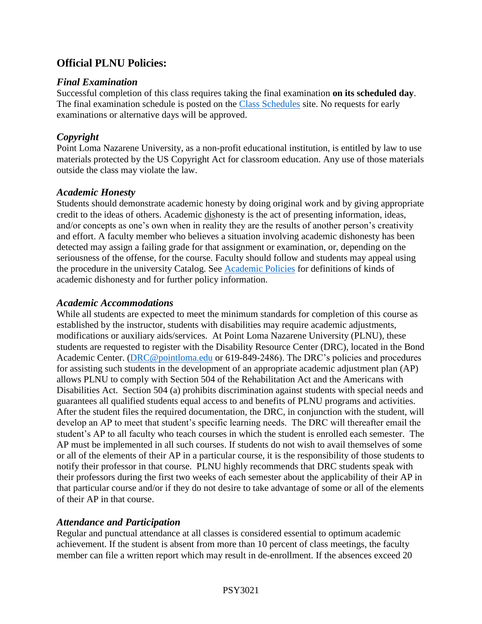# **Official PLNU Policies:**

#### *Final Examination*

Successful completion of this class requires taking the final examination **on its scheduled day**. The final examination schedule is posted on the [Class Schedules](http://www.pointloma.edu/experience/academics/class-schedules) site. No requests for early examinations or alternative days will be approved.

### *Copyright*

Point Loma Nazarene University, as a non-profit educational institution, is entitled by law to use materials protected by the US Copyright Act for classroom education. Any use of those materials outside the class may violate the law.

#### *Academic Honesty*

Students should demonstrate academic honesty by doing original work and by giving appropriate credit to the ideas of others. Academic dishonesty is the act of presenting information, ideas, and/or concepts as one's own when in reality they are the results of another person's creativity and effort. A faculty member who believes a situation involving academic dishonesty has been detected may assign a failing grade for that assignment or examination, or, depending on the seriousness of the offense, for the course. Faculty should follow and students may appeal using the procedure in the university Catalog. See [Academic Policies](http://catalog.pointloma.edu/content.php?catoid=18&navoid=1278) for definitions of kinds of academic dishonesty and for further policy information.

#### *Academic Accommodations*

While all students are expected to meet the minimum standards for completion of this course as established by the instructor, students with disabilities may require academic adjustments, modifications or auxiliary aids/services. At Point Loma Nazarene University (PLNU), these students are requested to register with the Disability Resource Center (DRC), located in the Bond Academic Center. [\(DRC@pointloma.edu](mailto:DRC@pointloma.edu) or 619-849-2486). The DRC's policies and procedures for assisting such students in the development of an appropriate academic adjustment plan (AP) allows PLNU to comply with Section 504 of the Rehabilitation Act and the Americans with Disabilities Act. Section 504 (a) prohibits discrimination against students with special needs and guarantees all qualified students equal access to and benefits of PLNU programs and activities. After the student files the required documentation, the DRC, in conjunction with the student, will develop an AP to meet that student's specific learning needs. The DRC will thereafter email the student's AP to all faculty who teach courses in which the student is enrolled each semester. The AP must be implemented in all such courses. If students do not wish to avail themselves of some or all of the elements of their AP in a particular course, it is the responsibility of those students to notify their professor in that course. PLNU highly recommends that DRC students speak with their professors during the first two weeks of each semester about the applicability of their AP in that particular course and/or if they do not desire to take advantage of some or all of the elements of their AP in that course.

### *Attendance and Participation*

Regular and punctual attendance at all classes is considered essential to optimum academic achievement. If the student is absent from more than 10 percent of class meetings, the faculty member can file a written report which may result in de-enrollment. If the absences exceed 20